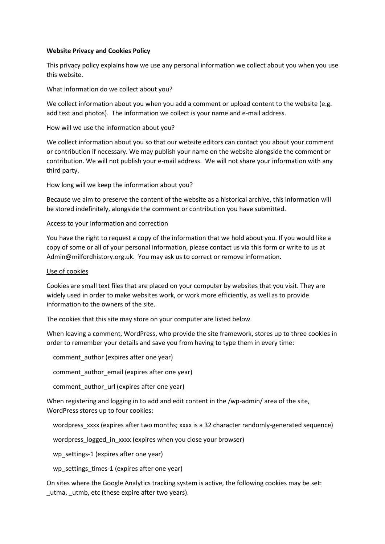# **Website Privacy and Cookies Policy**

This privacy policy explains how we use any personal information we collect about you when you use this website.

What information do we collect about you?

We collect information about you when you add a comment or upload content to the website (e.g. add text and photos). The information we collect is your name and e-mail address.

How will we use the information about you?

We collect information about you so that our website editors can contact you about your comment or contribution if necessary. We may publish your name on the website alongside the comment or contribution. We will not publish your e-mail address. We will not share your information with any third party.

How long will we keep the information about you?

Because we aim to preserve the content of the website as a historical archive, this information will be stored indefinitely, alongside the comment or contribution you have submitted.

# Access to your information and correction

You have the right to request a copy of the information that we hold about you. If you would like a copy of some or all of your personal information, please contact us via this form or write to us at Admin@milfordhistory.org.uk. You may ask us to correct or remove information.

# Use of cookies

Cookies are small text files that are placed on your computer by websites that you visit. They are widely used in order to make websites work, or work more efficiently, as well as to provide information to the owners of the site.

The cookies that this site may store on your computer are listed below.

When leaving a comment, WordPress, who provide the site framework, stores up to three cookies in order to remember your details and save you from having to type them in every time:

comment\_author (expires after one year)

comment author email (expires after one year)

comment\_author\_url (expires after one year)

When registering and logging in to add and edit content in the /wp-admin/ area of the site, WordPress stores up to four cookies:

wordpress\_xxxx (expires after two months; xxxx is a 32 character randomly-generated sequence)

wordpress logged in xxxx (expires when you close your browser)

wp\_settings-1 (expires after one year)

wp\_settings\_times-1 (expires after one year)

On sites where the Google Analytics tracking system is active, the following cookies may be set: \_utma, \_utmb, etc (these expire after two years).